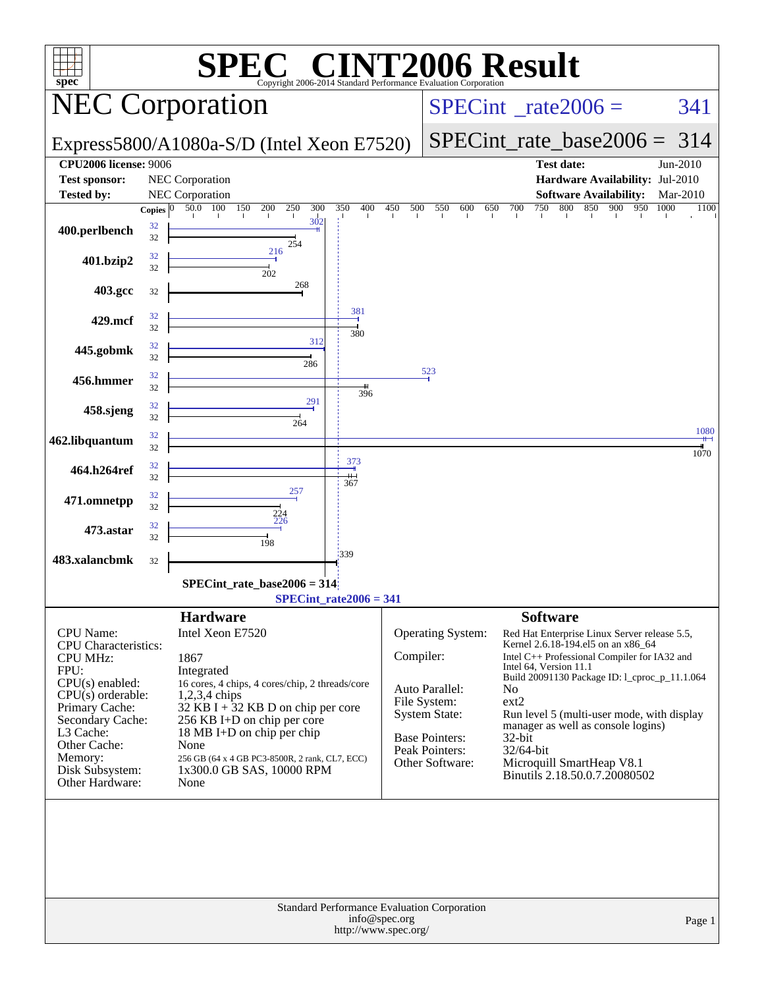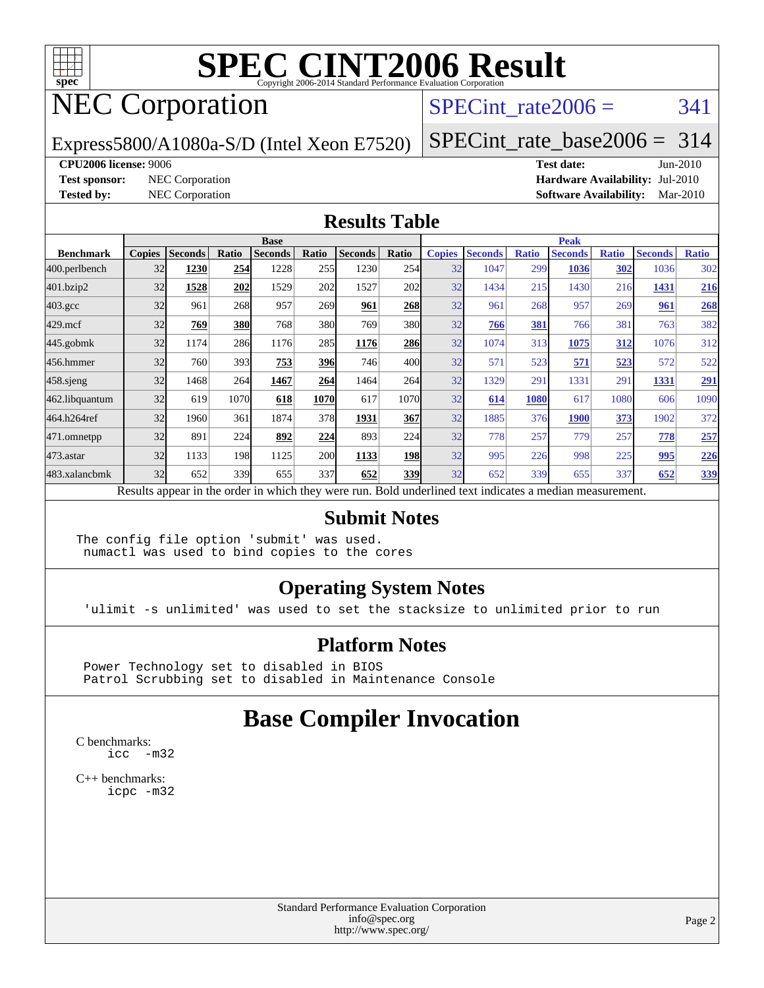

# NEC Corporation

### SPECint rate $2006 = 341$

Express5800/A1080a-S/D (Intel Xeon E7520)

[SPECint\\_rate\\_base2006 =](http://www.spec.org/auto/cpu2006/Docs/result-fields.html#SPECintratebase2006) 314

#### **[CPU2006 license:](http://www.spec.org/auto/cpu2006/Docs/result-fields.html#CPU2006license)** 9006 **[Test date:](http://www.spec.org/auto/cpu2006/Docs/result-fields.html#Testdate)** Jun-2010

**[Test sponsor:](http://www.spec.org/auto/cpu2006/Docs/result-fields.html#Testsponsor)** NEC Corporation **[Hardware Availability:](http://www.spec.org/auto/cpu2006/Docs/result-fields.html#HardwareAvailability)** Jul-2010 **[Tested by:](http://www.spec.org/auto/cpu2006/Docs/result-fields.html#Testedby)** NEC Corporation **[Software Availability:](http://www.spec.org/auto/cpu2006/Docs/result-fields.html#SoftwareAvailability)** Mar-2010

#### **[Results Table](http://www.spec.org/auto/cpu2006/Docs/result-fields.html#ResultsTable)**

|                  | <b>Base</b>   |                |            |                                                                                                          |            |                |       | <b>Peak</b>   |                |              |                |              |                |              |
|------------------|---------------|----------------|------------|----------------------------------------------------------------------------------------------------------|------------|----------------|-------|---------------|----------------|--------------|----------------|--------------|----------------|--------------|
| <b>Benchmark</b> | <b>Copies</b> | <b>Seconds</b> | Ratio      | <b>Seconds</b>                                                                                           | Ratio      | <b>Seconds</b> | Ratio | <b>Copies</b> | <b>Seconds</b> | <b>Ratio</b> | <b>Seconds</b> | <b>Ratio</b> | <b>Seconds</b> | <b>Ratio</b> |
| 400.perlbench    | 32            | 1230           | 254        | 1228                                                                                                     | 255        | 1230           | 254   | 32            | 1047           | 299          | 1036           | 302          | 1036           | 302          |
| 401.bzip2        | 32            | 1528           | 202        | 1529                                                                                                     | 202        | 1527           | 202   | 32            | 1434           | 215          | 1430           | 216          | 1431           | <u>216</u>   |
| $403.\text{gcc}$ | 32            | 961            | 268        | 957                                                                                                      | 269        | 961            | 268   | 32            | 961            | 268          | 957            | 269          | 961            | 268          |
| $429$ .mcf       | 32            | 769            | <b>380</b> | 768                                                                                                      | 380        | 769            | 380   | 32            | 766            | 381          | 766            | 381          | 763            | 382          |
| $445$ .gobmk     | 32            | 1174           | 286        | 1176                                                                                                     | 285        | 1176           | 286   | 32            | 1074           | 313          | 1075           | 312          | 1076           | 312          |
| 456.hmmer        | 32            | 760            | 393        | 753                                                                                                      | <b>396</b> | 746            | 400   | 32            | 571            | 523          | 571            | 523          | 572            | 522          |
| $458$ .sjeng     | 32            | 1468           | 264        | 1467                                                                                                     | 264        | 1464           | 264   | 32            | 1329           | 291          | 1331           | 291          | 1331           | <u>291</u>   |
| 462.libquantum   | 32            | 619            | 1070       | 618                                                                                                      | 1070       | 617            | 1070  | 32            | 614            | 1080         | 617            | 1080         | 606            | 1090         |
| 464.h264ref      | 32            | 1960           | 361        | 1874                                                                                                     | 378        | 1931           | 367   | 32            | 1885           | 376          | 1900           | 373          | 1902           | 372          |
| 471.omnetpp      | 32            | 891            | 224        | 892                                                                                                      | 224        | 893            | 224   | 32            | 778            | 257          | 779            | 257          | 778            | 257          |
| 473.astar        | 32            | 1133           | 198        | 1125                                                                                                     | <b>200</b> | 1133           | 198   | 32            | 995            | 226          | 998            | 225          | 995            | <u>226</u>   |
| 483.xalancbmk    | 32            | 652            | 339        | 655                                                                                                      | 337        | 652            | 339   | 32            | 652            | 339          | 655            | 337          | 652            | 339          |
|                  |               |                |            | Results appear in the order in which they were run. Bold underlined text indicates a median measurement. |            |                |       |               |                |              |                |              |                |              |

#### **[Submit Notes](http://www.spec.org/auto/cpu2006/Docs/result-fields.html#SubmitNotes)**

The config file option 'submit' was used. numactl was used to bind copies to the cores

#### **[Operating System Notes](http://www.spec.org/auto/cpu2006/Docs/result-fields.html#OperatingSystemNotes)**

'ulimit -s unlimited' was used to set the stacksize to unlimited prior to run

#### **[Platform Notes](http://www.spec.org/auto/cpu2006/Docs/result-fields.html#PlatformNotes)**

 Power Technology set to disabled in BIOS Patrol Scrubbing set to disabled in Maintenance Console

### **[Base Compiler Invocation](http://www.spec.org/auto/cpu2006/Docs/result-fields.html#BaseCompilerInvocation)**

[C benchmarks](http://www.spec.org/auto/cpu2006/Docs/result-fields.html#Cbenchmarks): [icc -m32](http://www.spec.org/cpu2006/results/res2010q3/cpu2006-20100621-11873.flags.html#user_CCbase_intel_icc_32bit_5ff4a39e364c98233615fdd38438c6f2)

[C++ benchmarks:](http://www.spec.org/auto/cpu2006/Docs/result-fields.html#CXXbenchmarks) [icpc -m32](http://www.spec.org/cpu2006/results/res2010q3/cpu2006-20100621-11873.flags.html#user_CXXbase_intel_icpc_32bit_4e5a5ef1a53fd332b3c49e69c3330699)

> Standard Performance Evaluation Corporation [info@spec.org](mailto:info@spec.org) <http://www.spec.org/>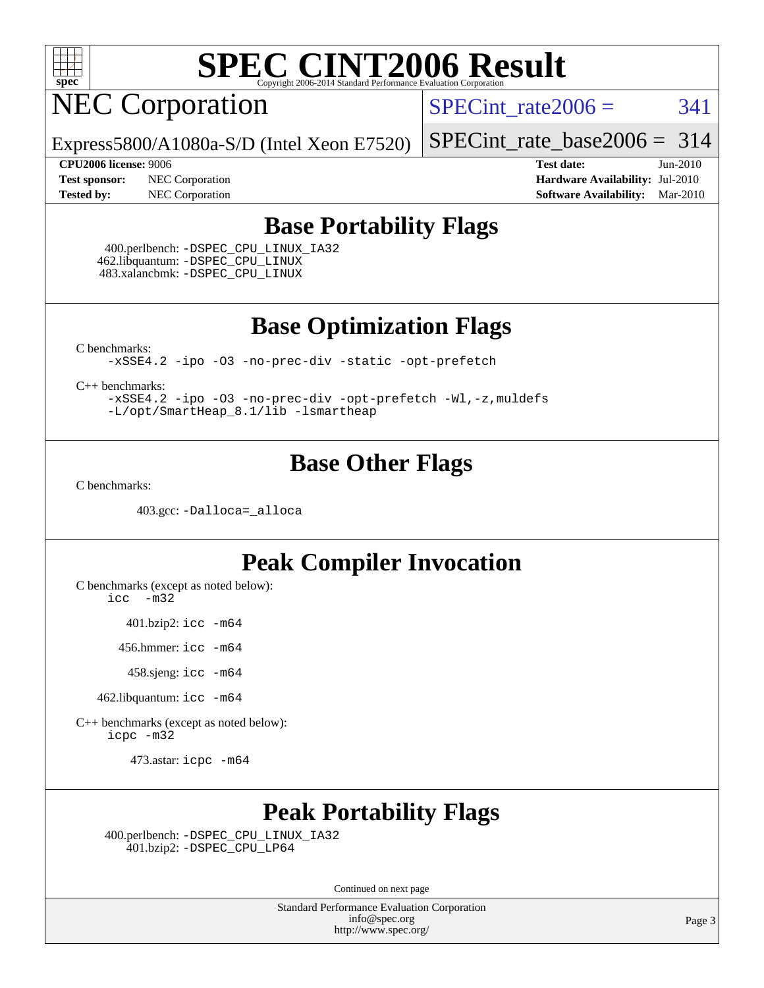

NEC Corporation

SPECint rate $2006 = 341$ 

Express5800/A1080a-S/D (Intel Xeon E7520)

[SPECint\\_rate\\_base2006 =](http://www.spec.org/auto/cpu2006/Docs/result-fields.html#SPECintratebase2006) 314

**[CPU2006 license:](http://www.spec.org/auto/cpu2006/Docs/result-fields.html#CPU2006license)** 9006 **[Test date:](http://www.spec.org/auto/cpu2006/Docs/result-fields.html#Testdate)** Jun-2010 **[Test sponsor:](http://www.spec.org/auto/cpu2006/Docs/result-fields.html#Testsponsor)** NEC Corporation **[Hardware Availability:](http://www.spec.org/auto/cpu2006/Docs/result-fields.html#HardwareAvailability)** Jul-2010 **[Tested by:](http://www.spec.org/auto/cpu2006/Docs/result-fields.html#Testedby)** NEC Corporation **[Software Availability:](http://www.spec.org/auto/cpu2006/Docs/result-fields.html#SoftwareAvailability)** Mar-2010

### **[Base Portability Flags](http://www.spec.org/auto/cpu2006/Docs/result-fields.html#BasePortabilityFlags)**

 400.perlbench: [-DSPEC\\_CPU\\_LINUX\\_IA32](http://www.spec.org/cpu2006/results/res2010q3/cpu2006-20100621-11873.flags.html#b400.perlbench_baseCPORTABILITY_DSPEC_CPU_LINUX_IA32) 462.libquantum: [-DSPEC\\_CPU\\_LINUX](http://www.spec.org/cpu2006/results/res2010q3/cpu2006-20100621-11873.flags.html#b462.libquantum_baseCPORTABILITY_DSPEC_CPU_LINUX) 483.xalancbmk: [-DSPEC\\_CPU\\_LINUX](http://www.spec.org/cpu2006/results/res2010q3/cpu2006-20100621-11873.flags.html#b483.xalancbmk_baseCXXPORTABILITY_DSPEC_CPU_LINUX)

**[Base Optimization Flags](http://www.spec.org/auto/cpu2006/Docs/result-fields.html#BaseOptimizationFlags)**

[C benchmarks](http://www.spec.org/auto/cpu2006/Docs/result-fields.html#Cbenchmarks):

[-xSSE4.2](http://www.spec.org/cpu2006/results/res2010q3/cpu2006-20100621-11873.flags.html#user_CCbase_f-xSSE42_f91528193cf0b216347adb8b939d4107) [-ipo](http://www.spec.org/cpu2006/results/res2010q3/cpu2006-20100621-11873.flags.html#user_CCbase_f-ipo) [-O3](http://www.spec.org/cpu2006/results/res2010q3/cpu2006-20100621-11873.flags.html#user_CCbase_f-O3) [-no-prec-div](http://www.spec.org/cpu2006/results/res2010q3/cpu2006-20100621-11873.flags.html#user_CCbase_f-no-prec-div) [-static](http://www.spec.org/cpu2006/results/res2010q3/cpu2006-20100621-11873.flags.html#user_CCbase_f-static) [-opt-prefetch](http://www.spec.org/cpu2006/results/res2010q3/cpu2006-20100621-11873.flags.html#user_CCbase_f-opt-prefetch)

[C++ benchmarks:](http://www.spec.org/auto/cpu2006/Docs/result-fields.html#CXXbenchmarks)

[-xSSE4.2](http://www.spec.org/cpu2006/results/res2010q3/cpu2006-20100621-11873.flags.html#user_CXXbase_f-xSSE42_f91528193cf0b216347adb8b939d4107) [-ipo](http://www.spec.org/cpu2006/results/res2010q3/cpu2006-20100621-11873.flags.html#user_CXXbase_f-ipo) [-O3](http://www.spec.org/cpu2006/results/res2010q3/cpu2006-20100621-11873.flags.html#user_CXXbase_f-O3) [-no-prec-div](http://www.spec.org/cpu2006/results/res2010q3/cpu2006-20100621-11873.flags.html#user_CXXbase_f-no-prec-div) [-opt-prefetch](http://www.spec.org/cpu2006/results/res2010q3/cpu2006-20100621-11873.flags.html#user_CXXbase_f-opt-prefetch) [-Wl,-z,muldefs](http://www.spec.org/cpu2006/results/res2010q3/cpu2006-20100621-11873.flags.html#user_CXXbase_link_force_multiple1_74079c344b956b9658436fd1b6dd3a8a) [-L/opt/SmartHeap\\_8.1/lib -lsmartheap](http://www.spec.org/cpu2006/results/res2010q3/cpu2006-20100621-11873.flags.html#user_CXXbase_SmartHeap_d5ba4dfc9de25d3c657c7de7476e66c5)

## **[Base Other Flags](http://www.spec.org/auto/cpu2006/Docs/result-fields.html#BaseOtherFlags)**

[C benchmarks](http://www.spec.org/auto/cpu2006/Docs/result-fields.html#Cbenchmarks):

403.gcc: [-Dalloca=\\_alloca](http://www.spec.org/cpu2006/results/res2010q3/cpu2006-20100621-11873.flags.html#b403.gcc_baseEXTRA_CFLAGS_Dalloca_be3056838c12de2578596ca5467af7f3)

## **[Peak Compiler Invocation](http://www.spec.org/auto/cpu2006/Docs/result-fields.html#PeakCompilerInvocation)**

[C benchmarks \(except as noted below\)](http://www.spec.org/auto/cpu2006/Docs/result-fields.html#Cbenchmarksexceptasnotedbelow):

[icc -m32](http://www.spec.org/cpu2006/results/res2010q3/cpu2006-20100621-11873.flags.html#user_CCpeak_intel_icc_32bit_5ff4a39e364c98233615fdd38438c6f2)

401.bzip2: [icc -m64](http://www.spec.org/cpu2006/results/res2010q3/cpu2006-20100621-11873.flags.html#user_peakCCLD401_bzip2_intel_icc_64bit_bda6cc9af1fdbb0edc3795bac97ada53)

456.hmmer: [icc -m64](http://www.spec.org/cpu2006/results/res2010q3/cpu2006-20100621-11873.flags.html#user_peakCCLD456_hmmer_intel_icc_64bit_bda6cc9af1fdbb0edc3795bac97ada53)

458.sjeng: [icc -m64](http://www.spec.org/cpu2006/results/res2010q3/cpu2006-20100621-11873.flags.html#user_peakCCLD458_sjeng_intel_icc_64bit_bda6cc9af1fdbb0edc3795bac97ada53)

462.libquantum: [icc -m64](http://www.spec.org/cpu2006/results/res2010q3/cpu2006-20100621-11873.flags.html#user_peakCCLD462_libquantum_intel_icc_64bit_bda6cc9af1fdbb0edc3795bac97ada53)

[C++ benchmarks \(except as noted below\):](http://www.spec.org/auto/cpu2006/Docs/result-fields.html#CXXbenchmarksexceptasnotedbelow) [icpc -m32](http://www.spec.org/cpu2006/results/res2010q3/cpu2006-20100621-11873.flags.html#user_CXXpeak_intel_icpc_32bit_4e5a5ef1a53fd332b3c49e69c3330699)

473.astar: [icpc -m64](http://www.spec.org/cpu2006/results/res2010q3/cpu2006-20100621-11873.flags.html#user_peakCXXLD473_astar_intel_icpc_64bit_fc66a5337ce925472a5c54ad6a0de310)

## **[Peak Portability Flags](http://www.spec.org/auto/cpu2006/Docs/result-fields.html#PeakPortabilityFlags)**

 400.perlbench: [-DSPEC\\_CPU\\_LINUX\\_IA32](http://www.spec.org/cpu2006/results/res2010q3/cpu2006-20100621-11873.flags.html#b400.perlbench_peakCPORTABILITY_DSPEC_CPU_LINUX_IA32) 401.bzip2: [-DSPEC\\_CPU\\_LP64](http://www.spec.org/cpu2006/results/res2010q3/cpu2006-20100621-11873.flags.html#suite_peakCPORTABILITY401_bzip2_DSPEC_CPU_LP64)

Continued on next page

Standard Performance Evaluation Corporation [info@spec.org](mailto:info@spec.org) <http://www.spec.org/>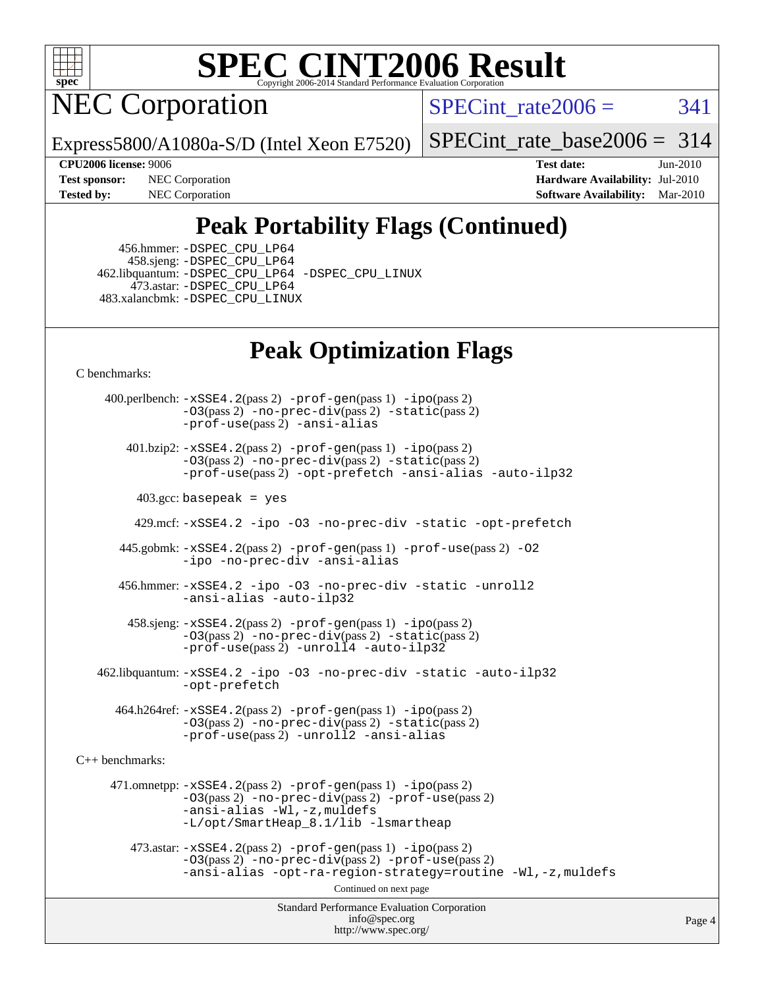

NEC Corporation

SPECint rate $2006 = 341$ 

Express5800/A1080a-S/D (Intel Xeon E7520)

[SPECint\\_rate\\_base2006 =](http://www.spec.org/auto/cpu2006/Docs/result-fields.html#SPECintratebase2006) 314

**[CPU2006 license:](http://www.spec.org/auto/cpu2006/Docs/result-fields.html#CPU2006license)** 9006 **[Test date:](http://www.spec.org/auto/cpu2006/Docs/result-fields.html#Testdate)** Jun-2010 **[Test sponsor:](http://www.spec.org/auto/cpu2006/Docs/result-fields.html#Testsponsor)** NEC Corporation **[Hardware Availability:](http://www.spec.org/auto/cpu2006/Docs/result-fields.html#HardwareAvailability)** Jul-2010 **[Tested by:](http://www.spec.org/auto/cpu2006/Docs/result-fields.html#Testedby)** NEC Corporation **[Software Availability:](http://www.spec.org/auto/cpu2006/Docs/result-fields.html#SoftwareAvailability)** Mar-2010

## **[Peak Portability Flags \(Continued\)](http://www.spec.org/auto/cpu2006/Docs/result-fields.html#PeakPortabilityFlags)**

 456.hmmer: [-DSPEC\\_CPU\\_LP64](http://www.spec.org/cpu2006/results/res2010q3/cpu2006-20100621-11873.flags.html#suite_peakCPORTABILITY456_hmmer_DSPEC_CPU_LP64) 458.sjeng: [-DSPEC\\_CPU\\_LP64](http://www.spec.org/cpu2006/results/res2010q3/cpu2006-20100621-11873.flags.html#suite_peakCPORTABILITY458_sjeng_DSPEC_CPU_LP64) 462.libquantum: [-DSPEC\\_CPU\\_LP64](http://www.spec.org/cpu2006/results/res2010q3/cpu2006-20100621-11873.flags.html#suite_peakCPORTABILITY462_libquantum_DSPEC_CPU_LP64) [-DSPEC\\_CPU\\_LINUX](http://www.spec.org/cpu2006/results/res2010q3/cpu2006-20100621-11873.flags.html#b462.libquantum_peakCPORTABILITY_DSPEC_CPU_LINUX) 473.astar: [-DSPEC\\_CPU\\_LP64](http://www.spec.org/cpu2006/results/res2010q3/cpu2006-20100621-11873.flags.html#suite_peakCXXPORTABILITY473_astar_DSPEC_CPU_LP64) 483.xalancbmk: [-DSPEC\\_CPU\\_LINUX](http://www.spec.org/cpu2006/results/res2010q3/cpu2006-20100621-11873.flags.html#b483.xalancbmk_peakCXXPORTABILITY_DSPEC_CPU_LINUX)

## **[Peak Optimization Flags](http://www.spec.org/auto/cpu2006/Docs/result-fields.html#PeakOptimizationFlags)**

[C benchmarks](http://www.spec.org/auto/cpu2006/Docs/result-fields.html#Cbenchmarks):

Standard Performance Evaluation Corporation [info@spec.org](mailto:info@spec.org) <http://www.spec.org/> Page 4 400.perlbench: [-xSSE4.2](http://www.spec.org/cpu2006/results/res2010q3/cpu2006-20100621-11873.flags.html#user_peakPASS2_CFLAGSPASS2_LDCFLAGS400_perlbench_f-xSSE42_f91528193cf0b216347adb8b939d4107)(pass 2) [-prof-gen](http://www.spec.org/cpu2006/results/res2010q3/cpu2006-20100621-11873.flags.html#user_peakPASS1_CFLAGSPASS1_LDCFLAGS400_perlbench_prof_gen_e43856698f6ca7b7e442dfd80e94a8fc)(pass 1) [-ipo](http://www.spec.org/cpu2006/results/res2010q3/cpu2006-20100621-11873.flags.html#user_peakPASS2_CFLAGSPASS2_LDCFLAGS400_perlbench_f-ipo)(pass 2) [-O3](http://www.spec.org/cpu2006/results/res2010q3/cpu2006-20100621-11873.flags.html#user_peakPASS2_CFLAGSPASS2_LDCFLAGS400_perlbench_f-O3)(pass 2) [-no-prec-div](http://www.spec.org/cpu2006/results/res2010q3/cpu2006-20100621-11873.flags.html#user_peakPASS2_CFLAGSPASS2_LDCFLAGS400_perlbench_f-no-prec-div)(pass 2) [-static](http://www.spec.org/cpu2006/results/res2010q3/cpu2006-20100621-11873.flags.html#user_peakPASS2_CFLAGSPASS2_LDCFLAGS400_perlbench_f-static)(pass 2) [-prof-use](http://www.spec.org/cpu2006/results/res2010q3/cpu2006-20100621-11873.flags.html#user_peakPASS2_CFLAGSPASS2_LDCFLAGS400_perlbench_prof_use_bccf7792157ff70d64e32fe3e1250b55)(pass 2) [-ansi-alias](http://www.spec.org/cpu2006/results/res2010q3/cpu2006-20100621-11873.flags.html#user_peakCOPTIMIZE400_perlbench_f-ansi-alias) 401.bzip2: [-xSSE4.2](http://www.spec.org/cpu2006/results/res2010q3/cpu2006-20100621-11873.flags.html#user_peakPASS2_CFLAGSPASS2_LDCFLAGS401_bzip2_f-xSSE42_f91528193cf0b216347adb8b939d4107)(pass 2) [-prof-gen](http://www.spec.org/cpu2006/results/res2010q3/cpu2006-20100621-11873.flags.html#user_peakPASS1_CFLAGSPASS1_LDCFLAGS401_bzip2_prof_gen_e43856698f6ca7b7e442dfd80e94a8fc)(pass 1) [-ipo](http://www.spec.org/cpu2006/results/res2010q3/cpu2006-20100621-11873.flags.html#user_peakPASS2_CFLAGSPASS2_LDCFLAGS401_bzip2_f-ipo)(pass 2) [-O3](http://www.spec.org/cpu2006/results/res2010q3/cpu2006-20100621-11873.flags.html#user_peakPASS2_CFLAGSPASS2_LDCFLAGS401_bzip2_f-O3)(pass 2) [-no-prec-div](http://www.spec.org/cpu2006/results/res2010q3/cpu2006-20100621-11873.flags.html#user_peakPASS2_CFLAGSPASS2_LDCFLAGS401_bzip2_f-no-prec-div)(pass 2) [-static](http://www.spec.org/cpu2006/results/res2010q3/cpu2006-20100621-11873.flags.html#user_peakPASS2_CFLAGSPASS2_LDCFLAGS401_bzip2_f-static)(pass 2) [-prof-use](http://www.spec.org/cpu2006/results/res2010q3/cpu2006-20100621-11873.flags.html#user_peakPASS2_CFLAGSPASS2_LDCFLAGS401_bzip2_prof_use_bccf7792157ff70d64e32fe3e1250b55)(pass 2) [-opt-prefetch](http://www.spec.org/cpu2006/results/res2010q3/cpu2006-20100621-11873.flags.html#user_peakCOPTIMIZE401_bzip2_f-opt-prefetch) [-ansi-alias](http://www.spec.org/cpu2006/results/res2010q3/cpu2006-20100621-11873.flags.html#user_peakCOPTIMIZE401_bzip2_f-ansi-alias) [-auto-ilp32](http://www.spec.org/cpu2006/results/res2010q3/cpu2006-20100621-11873.flags.html#user_peakCOPTIMIZE401_bzip2_f-auto-ilp32)  $403.\text{gcc: basepeak}$  = yes 429.mcf: [-xSSE4.2](http://www.spec.org/cpu2006/results/res2010q3/cpu2006-20100621-11873.flags.html#user_peakCOPTIMIZE429_mcf_f-xSSE42_f91528193cf0b216347adb8b939d4107) [-ipo](http://www.spec.org/cpu2006/results/res2010q3/cpu2006-20100621-11873.flags.html#user_peakCOPTIMIZE429_mcf_f-ipo) [-O3](http://www.spec.org/cpu2006/results/res2010q3/cpu2006-20100621-11873.flags.html#user_peakCOPTIMIZE429_mcf_f-O3) [-no-prec-div](http://www.spec.org/cpu2006/results/res2010q3/cpu2006-20100621-11873.flags.html#user_peakCOPTIMIZE429_mcf_f-no-prec-div) [-static](http://www.spec.org/cpu2006/results/res2010q3/cpu2006-20100621-11873.flags.html#user_peakCOPTIMIZE429_mcf_f-static) [-opt-prefetch](http://www.spec.org/cpu2006/results/res2010q3/cpu2006-20100621-11873.flags.html#user_peakCOPTIMIZE429_mcf_f-opt-prefetch) 445.gobmk: [-xSSE4.2](http://www.spec.org/cpu2006/results/res2010q3/cpu2006-20100621-11873.flags.html#user_peakPASS2_CFLAGSPASS2_LDCFLAGS445_gobmk_f-xSSE42_f91528193cf0b216347adb8b939d4107)(pass 2) [-prof-gen](http://www.spec.org/cpu2006/results/res2010q3/cpu2006-20100621-11873.flags.html#user_peakPASS1_CFLAGSPASS1_LDCFLAGS445_gobmk_prof_gen_e43856698f6ca7b7e442dfd80e94a8fc)(pass 1) [-prof-use](http://www.spec.org/cpu2006/results/res2010q3/cpu2006-20100621-11873.flags.html#user_peakPASS2_CFLAGSPASS2_LDCFLAGS445_gobmk_prof_use_bccf7792157ff70d64e32fe3e1250b55)(pass 2) [-O2](http://www.spec.org/cpu2006/results/res2010q3/cpu2006-20100621-11873.flags.html#user_peakCOPTIMIZE445_gobmk_f-O2) [-ipo](http://www.spec.org/cpu2006/results/res2010q3/cpu2006-20100621-11873.flags.html#user_peakCOPTIMIZE445_gobmk_f-ipo) [-no-prec-div](http://www.spec.org/cpu2006/results/res2010q3/cpu2006-20100621-11873.flags.html#user_peakCOPTIMIZE445_gobmk_f-no-prec-div) [-ansi-alias](http://www.spec.org/cpu2006/results/res2010q3/cpu2006-20100621-11873.flags.html#user_peakCOPTIMIZE445_gobmk_f-ansi-alias) 456.hmmer: [-xSSE4.2](http://www.spec.org/cpu2006/results/res2010q3/cpu2006-20100621-11873.flags.html#user_peakCOPTIMIZE456_hmmer_f-xSSE42_f91528193cf0b216347adb8b939d4107) [-ipo](http://www.spec.org/cpu2006/results/res2010q3/cpu2006-20100621-11873.flags.html#user_peakCOPTIMIZE456_hmmer_f-ipo) [-O3](http://www.spec.org/cpu2006/results/res2010q3/cpu2006-20100621-11873.flags.html#user_peakCOPTIMIZE456_hmmer_f-O3) [-no-prec-div](http://www.spec.org/cpu2006/results/res2010q3/cpu2006-20100621-11873.flags.html#user_peakCOPTIMIZE456_hmmer_f-no-prec-div) [-static](http://www.spec.org/cpu2006/results/res2010q3/cpu2006-20100621-11873.flags.html#user_peakCOPTIMIZE456_hmmer_f-static) [-unroll2](http://www.spec.org/cpu2006/results/res2010q3/cpu2006-20100621-11873.flags.html#user_peakCOPTIMIZE456_hmmer_f-unroll_784dae83bebfb236979b41d2422d7ec2) [-ansi-alias](http://www.spec.org/cpu2006/results/res2010q3/cpu2006-20100621-11873.flags.html#user_peakCOPTIMIZE456_hmmer_f-ansi-alias) [-auto-ilp32](http://www.spec.org/cpu2006/results/res2010q3/cpu2006-20100621-11873.flags.html#user_peakCOPTIMIZE456_hmmer_f-auto-ilp32) 458.sjeng: [-xSSE4.2](http://www.spec.org/cpu2006/results/res2010q3/cpu2006-20100621-11873.flags.html#user_peakPASS2_CFLAGSPASS2_LDCFLAGS458_sjeng_f-xSSE42_f91528193cf0b216347adb8b939d4107)(pass 2) [-prof-gen](http://www.spec.org/cpu2006/results/res2010q3/cpu2006-20100621-11873.flags.html#user_peakPASS1_CFLAGSPASS1_LDCFLAGS458_sjeng_prof_gen_e43856698f6ca7b7e442dfd80e94a8fc)(pass 1) [-ipo](http://www.spec.org/cpu2006/results/res2010q3/cpu2006-20100621-11873.flags.html#user_peakPASS2_CFLAGSPASS2_LDCFLAGS458_sjeng_f-ipo)(pass 2) [-O3](http://www.spec.org/cpu2006/results/res2010q3/cpu2006-20100621-11873.flags.html#user_peakPASS2_CFLAGSPASS2_LDCFLAGS458_sjeng_f-O3)(pass 2) [-no-prec-div](http://www.spec.org/cpu2006/results/res2010q3/cpu2006-20100621-11873.flags.html#user_peakPASS2_CFLAGSPASS2_LDCFLAGS458_sjeng_f-no-prec-div)(pass 2) [-static](http://www.spec.org/cpu2006/results/res2010q3/cpu2006-20100621-11873.flags.html#user_peakPASS2_CFLAGSPASS2_LDCFLAGS458_sjeng_f-static)(pass 2) [-prof-use](http://www.spec.org/cpu2006/results/res2010q3/cpu2006-20100621-11873.flags.html#user_peakPASS2_CFLAGSPASS2_LDCFLAGS458_sjeng_prof_use_bccf7792157ff70d64e32fe3e1250b55)(pass 2) [-unroll4](http://www.spec.org/cpu2006/results/res2010q3/cpu2006-20100621-11873.flags.html#user_peakCOPTIMIZE458_sjeng_f-unroll_4e5e4ed65b7fd20bdcd365bec371b81f) [-auto-ilp32](http://www.spec.org/cpu2006/results/res2010q3/cpu2006-20100621-11873.flags.html#user_peakCOPTIMIZE458_sjeng_f-auto-ilp32) 462.libquantum: [-xSSE4.2](http://www.spec.org/cpu2006/results/res2010q3/cpu2006-20100621-11873.flags.html#user_peakCOPTIMIZE462_libquantum_f-xSSE42_f91528193cf0b216347adb8b939d4107) [-ipo](http://www.spec.org/cpu2006/results/res2010q3/cpu2006-20100621-11873.flags.html#user_peakCOPTIMIZE462_libquantum_f-ipo) [-O3](http://www.spec.org/cpu2006/results/res2010q3/cpu2006-20100621-11873.flags.html#user_peakCOPTIMIZE462_libquantum_f-O3) [-no-prec-div](http://www.spec.org/cpu2006/results/res2010q3/cpu2006-20100621-11873.flags.html#user_peakCOPTIMIZE462_libquantum_f-no-prec-div) [-static](http://www.spec.org/cpu2006/results/res2010q3/cpu2006-20100621-11873.flags.html#user_peakCOPTIMIZE462_libquantum_f-static) [-auto-ilp32](http://www.spec.org/cpu2006/results/res2010q3/cpu2006-20100621-11873.flags.html#user_peakCOPTIMIZE462_libquantum_f-auto-ilp32) [-opt-prefetch](http://www.spec.org/cpu2006/results/res2010q3/cpu2006-20100621-11873.flags.html#user_peakCOPTIMIZE462_libquantum_f-opt-prefetch) 464.h264ref: [-xSSE4.2](http://www.spec.org/cpu2006/results/res2010q3/cpu2006-20100621-11873.flags.html#user_peakPASS2_CFLAGSPASS2_LDCFLAGS464_h264ref_f-xSSE42_f91528193cf0b216347adb8b939d4107)(pass 2) [-prof-gen](http://www.spec.org/cpu2006/results/res2010q3/cpu2006-20100621-11873.flags.html#user_peakPASS1_CFLAGSPASS1_LDCFLAGS464_h264ref_prof_gen_e43856698f6ca7b7e442dfd80e94a8fc)(pass 1) [-ipo](http://www.spec.org/cpu2006/results/res2010q3/cpu2006-20100621-11873.flags.html#user_peakPASS2_CFLAGSPASS2_LDCFLAGS464_h264ref_f-ipo)(pass 2) [-O3](http://www.spec.org/cpu2006/results/res2010q3/cpu2006-20100621-11873.flags.html#user_peakPASS2_CFLAGSPASS2_LDCFLAGS464_h264ref_f-O3)(pass 2) [-no-prec-div](http://www.spec.org/cpu2006/results/res2010q3/cpu2006-20100621-11873.flags.html#user_peakPASS2_CFLAGSPASS2_LDCFLAGS464_h264ref_f-no-prec-div)(pass 2) [-static](http://www.spec.org/cpu2006/results/res2010q3/cpu2006-20100621-11873.flags.html#user_peakPASS2_CFLAGSPASS2_LDCFLAGS464_h264ref_f-static)(pass 2) [-prof-use](http://www.spec.org/cpu2006/results/res2010q3/cpu2006-20100621-11873.flags.html#user_peakPASS2_CFLAGSPASS2_LDCFLAGS464_h264ref_prof_use_bccf7792157ff70d64e32fe3e1250b55)(pass 2) [-unroll2](http://www.spec.org/cpu2006/results/res2010q3/cpu2006-20100621-11873.flags.html#user_peakCOPTIMIZE464_h264ref_f-unroll_784dae83bebfb236979b41d2422d7ec2) [-ansi-alias](http://www.spec.org/cpu2006/results/res2010q3/cpu2006-20100621-11873.flags.html#user_peakCOPTIMIZE464_h264ref_f-ansi-alias) [C++ benchmarks:](http://www.spec.org/auto/cpu2006/Docs/result-fields.html#CXXbenchmarks) 471.omnetpp: [-xSSE4.2](http://www.spec.org/cpu2006/results/res2010q3/cpu2006-20100621-11873.flags.html#user_peakPASS2_CXXFLAGSPASS2_LDCXXFLAGS471_omnetpp_f-xSSE42_f91528193cf0b216347adb8b939d4107)(pass 2) [-prof-gen](http://www.spec.org/cpu2006/results/res2010q3/cpu2006-20100621-11873.flags.html#user_peakPASS1_CXXFLAGSPASS1_LDCXXFLAGS471_omnetpp_prof_gen_e43856698f6ca7b7e442dfd80e94a8fc)(pass 1) [-ipo](http://www.spec.org/cpu2006/results/res2010q3/cpu2006-20100621-11873.flags.html#user_peakPASS2_CXXFLAGSPASS2_LDCXXFLAGS471_omnetpp_f-ipo)(pass 2) [-O3](http://www.spec.org/cpu2006/results/res2010q3/cpu2006-20100621-11873.flags.html#user_peakPASS2_CXXFLAGSPASS2_LDCXXFLAGS471_omnetpp_f-O3)(pass 2) [-no-prec-div](http://www.spec.org/cpu2006/results/res2010q3/cpu2006-20100621-11873.flags.html#user_peakPASS2_CXXFLAGSPASS2_LDCXXFLAGS471_omnetpp_f-no-prec-div)(pass 2) [-prof-use](http://www.spec.org/cpu2006/results/res2010q3/cpu2006-20100621-11873.flags.html#user_peakPASS2_CXXFLAGSPASS2_LDCXXFLAGS471_omnetpp_prof_use_bccf7792157ff70d64e32fe3e1250b55)(pass 2) [-ansi-alias](http://www.spec.org/cpu2006/results/res2010q3/cpu2006-20100621-11873.flags.html#user_peakCXXOPTIMIZE471_omnetpp_f-ansi-alias) [-Wl,-z,muldefs](http://www.spec.org/cpu2006/results/res2010q3/cpu2006-20100621-11873.flags.html#user_peakEXTRA_LDFLAGS471_omnetpp_link_force_multiple1_74079c344b956b9658436fd1b6dd3a8a) [-L/opt/SmartHeap\\_8.1/lib -lsmartheap](http://www.spec.org/cpu2006/results/res2010q3/cpu2006-20100621-11873.flags.html#user_peakEXTRA_LIBS471_omnetpp_SmartHeap_d5ba4dfc9de25d3c657c7de7476e66c5)  $473.\text{astar: } -xSSE4$ .  $2(\text{pass 2})$   $-\text{prof-gen}(\text{pass 1})$   $-i\text{po}(\text{pass 2})$ [-O3](http://www.spec.org/cpu2006/results/res2010q3/cpu2006-20100621-11873.flags.html#user_peakPASS2_CXXFLAGSPASS2_LDCXXFLAGS473_astar_f-O3)(pass 2) [-no-prec-div](http://www.spec.org/cpu2006/results/res2010q3/cpu2006-20100621-11873.flags.html#user_peakPASS2_CXXFLAGSPASS2_LDCXXFLAGS473_astar_f-no-prec-div)(pass 2) [-prof-use](http://www.spec.org/cpu2006/results/res2010q3/cpu2006-20100621-11873.flags.html#user_peakPASS2_CXXFLAGSPASS2_LDCXXFLAGS473_astar_prof_use_bccf7792157ff70d64e32fe3e1250b55)(pass 2) [-ansi-alias](http://www.spec.org/cpu2006/results/res2010q3/cpu2006-20100621-11873.flags.html#user_peakCXXOPTIMIZE473_astar_f-ansi-alias) [-opt-ra-region-strategy=routine](http://www.spec.org/cpu2006/results/res2010q3/cpu2006-20100621-11873.flags.html#user_peakCXXOPTIMIZE473_astar_f-opt-ra-region-strategy-routine_ba086ea3b1d46a52e1238e2ca173ed44) [-Wl,-z,muldefs](http://www.spec.org/cpu2006/results/res2010q3/cpu2006-20100621-11873.flags.html#user_peakEXTRA_LDFLAGS473_astar_link_force_multiple1_74079c344b956b9658436fd1b6dd3a8a) Continued on next page